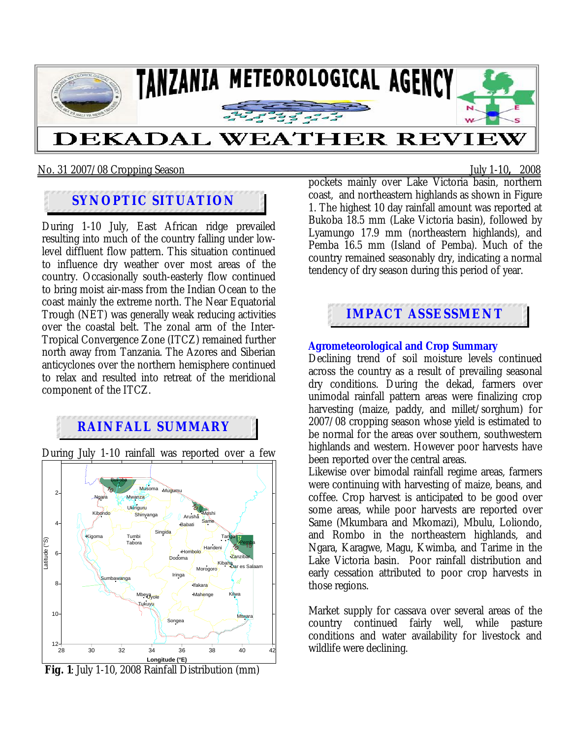

No. 31 2007/08 Cropping Season July 1-10**,** 2008

## **SYNOPTIC SITUATION**

During 1-10 July, East African ridge prevailed resulting into much of the country falling under lowlevel diffluent flow pattern. This situation continued to influence dry weather over most areas of the country. Occasionally south-easterly flow continued to bring moist air-mass from the Indian Ocean to the coast mainly the extreme north. The Near Equatorial Trough (NET) was generally weak reducing activities over the coastal belt. The zonal arm of the Inter-Tropical Convergence Zone (ITCZ) remained further north away from Tanzania. The Azores and Siberian anticyclones over the northern hemisphere continued to relax and resulted into retreat of the meridional component of the ITCZ.

# **RAINFALL SUMMARY**

During July 1-10 rainfall was reported over a few



 **Fig. 1**: July 1-10, 2008 Rainfall Distribution (mm)

pockets mainly over Lake Victoria basin, northern coast, and northeastern highlands as shown in Figure 1. The highest 10 day rainfall amount was reported at Bukoba 18.5 mm (Lake Victoria basin), followed by Lyamungo 17.9 mm (northeastern highlands), and Pemba 16.5 mm (Island of Pemba). Much of the country remained seasonably dry, indicating a normal tendency of dry season during this period of year.



#### **Agrometeorological and Crop Summary**

Declining trend of soil moisture levels continued across the country as a result of prevailing seasonal dry conditions. During the dekad, farmers over unimodal rainfall pattern areas were finalizing crop harvesting (maize, paddy, and millet/sorghum) for 2007/08 cropping season whose yield is estimated to be normal for the areas over southern, southwestern highlands and western. However poor harvests have been reported over the central areas.

Likewise over bimodal rainfall regime areas, farmers were continuing with harvesting of maize, beans, and coffee. Crop harvest is anticipated to be good over some areas, while poor harvests are reported over Same (Mkumbara and Mkomazi), Mbulu, Loliondo, and Rombo in the northeastern highlands, and Ngara, Karagwe, Magu, Kwimba, and Tarime in the Lake Victoria basin. Poor rainfall distribution and early cessation attributed to poor crop harvests in those regions.

Market supply for cassava over several areas of the country continued fairly well, while pasture conditions and water availability for livestock and wildlife were declining.